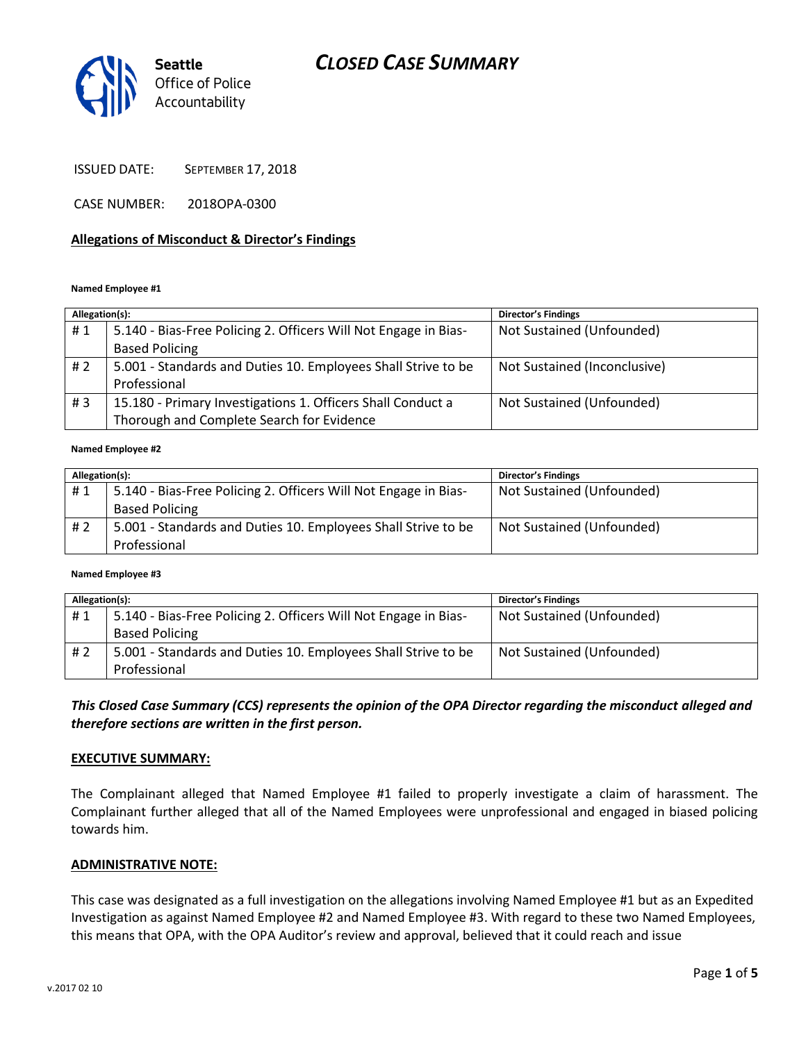

ISSUED DATE: SEPTEMBER 17, 2018

CASE NUMBER: 2018OPA-0300

### **Allegations of Misconduct & Director's Findings**

#### **Named Employee #1**

| Allegation(s): |                                                                 | <b>Director's Findings</b>   |
|----------------|-----------------------------------------------------------------|------------------------------|
| #1             | 5.140 - Bias-Free Policing 2. Officers Will Not Engage in Bias- | Not Sustained (Unfounded)    |
|                | <b>Based Policing</b>                                           |                              |
| # 2            | 5.001 - Standards and Duties 10. Employees Shall Strive to be   | Not Sustained (Inconclusive) |
|                | Professional                                                    |                              |
| #3             | 15.180 - Primary Investigations 1. Officers Shall Conduct a     | Not Sustained (Unfounded)    |
|                | Thorough and Complete Search for Evidence                       |                              |

#### **Named Employee #2**

| Allegation(s): |                                                                 | <b>Director's Findings</b> |
|----------------|-----------------------------------------------------------------|----------------------------|
| #1             | 5.140 - Bias-Free Policing 2. Officers Will Not Engage in Bias- | Not Sustained (Unfounded)  |
|                | <b>Based Policing</b>                                           |                            |
| # 2            | 5.001 - Standards and Duties 10. Employees Shall Strive to be   | Not Sustained (Unfounded)  |
|                | Professional                                                    |                            |

#### **Named Employee #3**

| Allegation(s): |                                                                 | <b>Director's Findings</b> |
|----------------|-----------------------------------------------------------------|----------------------------|
| #1             | 5.140 - Bias-Free Policing 2. Officers Will Not Engage in Bias- | Not Sustained (Unfounded)  |
|                | <b>Based Policing</b>                                           |                            |
| # 2            | 5.001 - Standards and Duties 10. Employees Shall Strive to be   | Not Sustained (Unfounded)  |
|                | Professional                                                    |                            |

*This Closed Case Summary (CCS) represents the opinion of the OPA Director regarding the misconduct alleged and therefore sections are written in the first person.* 

#### **EXECUTIVE SUMMARY:**

The Complainant alleged that Named Employee #1 failed to properly investigate a claim of harassment. The Complainant further alleged that all of the Named Employees were unprofessional and engaged in biased policing towards him.

#### **ADMINISTRATIVE NOTE:**

This case was designated as a full investigation on the allegations involving Named Employee #1 but as an Expedited Investigation as against Named Employee #2 and Named Employee #3. With regard to these two Named Employees, this means that OPA, with the OPA Auditor's review and approval, believed that it could reach and issue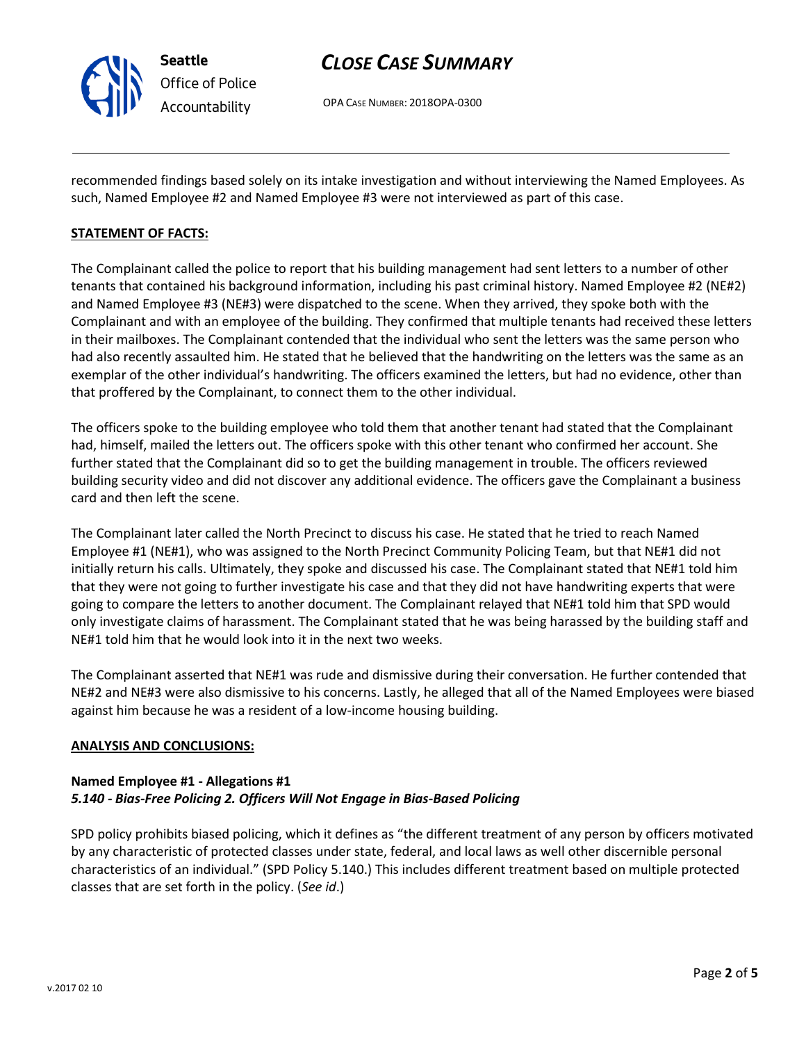

OPA CASE NUMBER: 2018OPA-0300

recommended findings based solely on its intake investigation and without interviewing the Named Employees. As such, Named Employee #2 and Named Employee #3 were not interviewed as part of this case.

### **STATEMENT OF FACTS:**

The Complainant called the police to report that his building management had sent letters to a number of other tenants that contained his background information, including his past criminal history. Named Employee #2 (NE#2) and Named Employee #3 (NE#3) were dispatched to the scene. When they arrived, they spoke both with the Complainant and with an employee of the building. They confirmed that multiple tenants had received these letters in their mailboxes. The Complainant contended that the individual who sent the letters was the same person who had also recently assaulted him. He stated that he believed that the handwriting on the letters was the same as an exemplar of the other individual's handwriting. The officers examined the letters, but had no evidence, other than that proffered by the Complainant, to connect them to the other individual.

The officers spoke to the building employee who told them that another tenant had stated that the Complainant had, himself, mailed the letters out. The officers spoke with this other tenant who confirmed her account. She further stated that the Complainant did so to get the building management in trouble. The officers reviewed building security video and did not discover any additional evidence. The officers gave the Complainant a business card and then left the scene.

The Complainant later called the North Precinct to discuss his case. He stated that he tried to reach Named Employee #1 (NE#1), who was assigned to the North Precinct Community Policing Team, but that NE#1 did not initially return his calls. Ultimately, they spoke and discussed his case. The Complainant stated that NE#1 told him that they were not going to further investigate his case and that they did not have handwriting experts that were going to compare the letters to another document. The Complainant relayed that NE#1 told him that SPD would only investigate claims of harassment. The Complainant stated that he was being harassed by the building staff and NE#1 told him that he would look into it in the next two weeks.

The Complainant asserted that NE#1 was rude and dismissive during their conversation. He further contended that NE#2 and NE#3 were also dismissive to his concerns. Lastly, he alleged that all of the Named Employees were biased against him because he was a resident of a low-income housing building.

### **ANALYSIS AND CONCLUSIONS:**

### **Named Employee #1 - Allegations #1** *5.140 - Bias-Free Policing 2. Officers Will Not Engage in Bias-Based Policing*

SPD policy prohibits biased policing, which it defines as "the different treatment of any person by officers motivated by any characteristic of protected classes under state, federal, and local laws as well other discernible personal characteristics of an individual." (SPD Policy 5.140.) This includes different treatment based on multiple protected classes that are set forth in the policy. (*See id*.)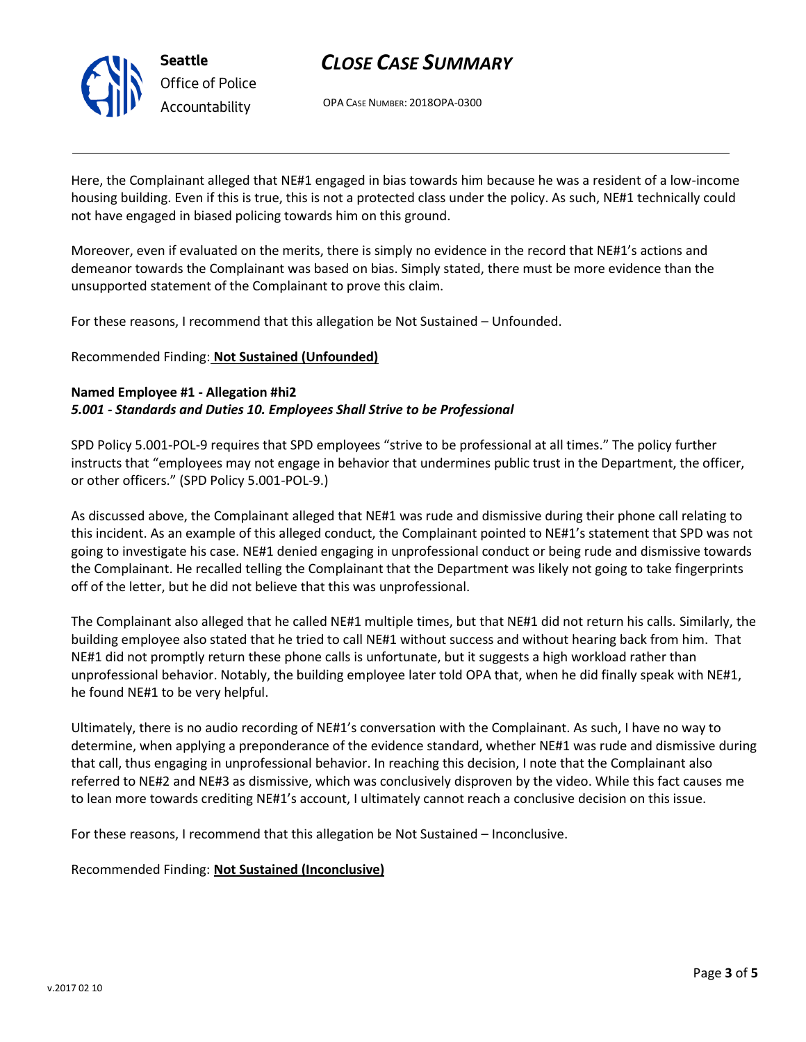

OPA CASE NUMBER: 2018OPA-0300

Here, the Complainant alleged that NE#1 engaged in bias towards him because he was a resident of a low-income housing building. Even if this is true, this is not a protected class under the policy. As such, NE#1 technically could not have engaged in biased policing towards him on this ground.

Moreover, even if evaluated on the merits, there is simply no evidence in the record that NE#1's actions and demeanor towards the Complainant was based on bias. Simply stated, there must be more evidence than the unsupported statement of the Complainant to prove this claim.

For these reasons, I recommend that this allegation be Not Sustained – Unfounded.

Recommended Finding: **Not Sustained (Unfounded)**

## **Named Employee #1 - Allegation #hi2** *5.001 - Standards and Duties 10. Employees Shall Strive to be Professional*

SPD Policy 5.001-POL-9 requires that SPD employees "strive to be professional at all times." The policy further instructs that "employees may not engage in behavior that undermines public trust in the Department, the officer, or other officers." (SPD Policy 5.001-POL-9.)

As discussed above, the Complainant alleged that NE#1 was rude and dismissive during their phone call relating to this incident. As an example of this alleged conduct, the Complainant pointed to NE#1's statement that SPD was not going to investigate his case. NE#1 denied engaging in unprofessional conduct or being rude and dismissive towards the Complainant. He recalled telling the Complainant that the Department was likely not going to take fingerprints off of the letter, but he did not believe that this was unprofessional.

The Complainant also alleged that he called NE#1 multiple times, but that NE#1 did not return his calls. Similarly, the building employee also stated that he tried to call NE#1 without success and without hearing back from him. That NE#1 did not promptly return these phone calls is unfortunate, but it suggests a high workload rather than unprofessional behavior. Notably, the building employee later told OPA that, when he did finally speak with NE#1, he found NE#1 to be very helpful.

Ultimately, there is no audio recording of NE#1's conversation with the Complainant. As such, I have no way to determine, when applying a preponderance of the evidence standard, whether NE#1 was rude and dismissive during that call, thus engaging in unprofessional behavior. In reaching this decision, I note that the Complainant also referred to NE#2 and NE#3 as dismissive, which was conclusively disproven by the video. While this fact causes me to lean more towards crediting NE#1's account, I ultimately cannot reach a conclusive decision on this issue.

For these reasons, I recommend that this allegation be Not Sustained – Inconclusive.

Recommended Finding: **Not Sustained (Inconclusive)**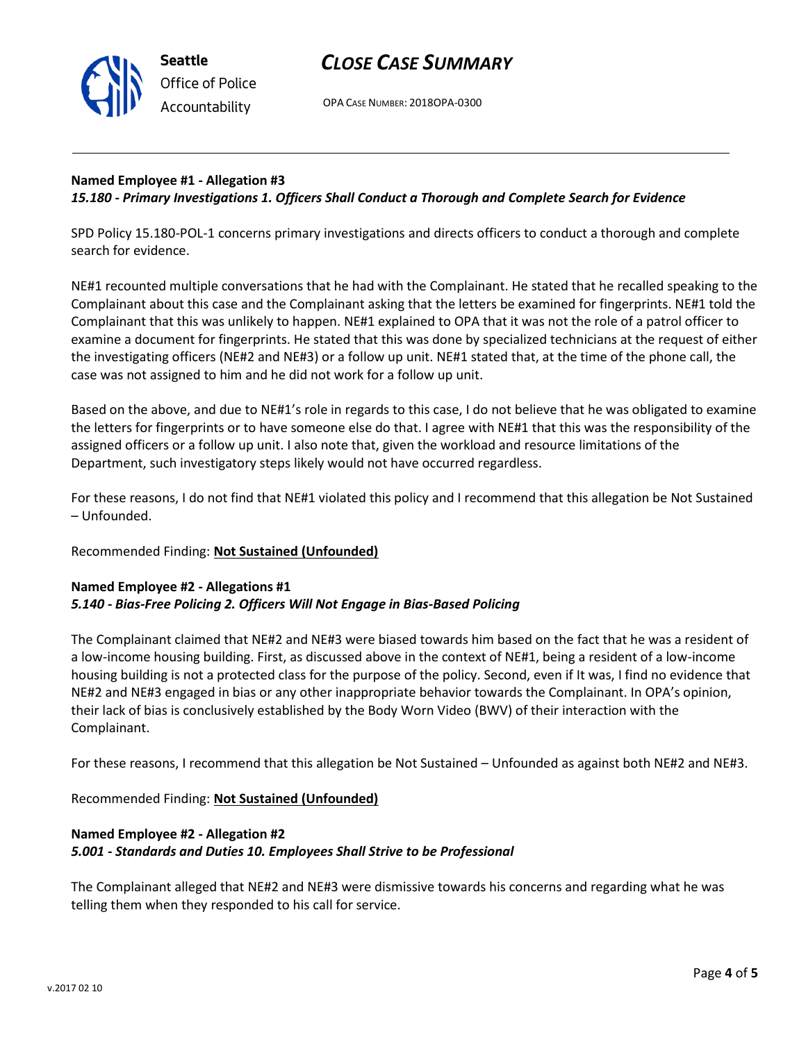

OPA CASE NUMBER: 2018OPA-0300

### **Named Employee #1 - Allegation #3** *15.180 - Primary Investigations 1. Officers Shall Conduct a Thorough and Complete Search for Evidence*

SPD Policy 15.180-POL-1 concerns primary investigations and directs officers to conduct a thorough and complete search for evidence.

NE#1 recounted multiple conversations that he had with the Complainant. He stated that he recalled speaking to the Complainant about this case and the Complainant asking that the letters be examined for fingerprints. NE#1 told the Complainant that this was unlikely to happen. NE#1 explained to OPA that it was not the role of a patrol officer to examine a document for fingerprints. He stated that this was done by specialized technicians at the request of either the investigating officers (NE#2 and NE#3) or a follow up unit. NE#1 stated that, at the time of the phone call, the case was not assigned to him and he did not work for a follow up unit.

Based on the above, and due to NE#1's role in regards to this case, I do not believe that he was obligated to examine the letters for fingerprints or to have someone else do that. I agree with NE#1 that this was the responsibility of the assigned officers or a follow up unit. I also note that, given the workload and resource limitations of the Department, such investigatory steps likely would not have occurred regardless.

For these reasons, I do not find that NE#1 violated this policy and I recommend that this allegation be Not Sustained – Unfounded.

### Recommended Finding: **Not Sustained (Unfounded)**

### **Named Employee #2 - Allegations #1** *5.140 - Bias-Free Policing 2. Officers Will Not Engage in Bias-Based Policing*

The Complainant claimed that NE#2 and NE#3 were biased towards him based on the fact that he was a resident of a low-income housing building. First, as discussed above in the context of NE#1, being a resident of a low-income housing building is not a protected class for the purpose of the policy. Second, even if It was, I find no evidence that NE#2 and NE#3 engaged in bias or any other inappropriate behavior towards the Complainant. In OPA's opinion, their lack of bias is conclusively established by the Body Worn Video (BWV) of their interaction with the Complainant.

For these reasons, I recommend that this allegation be Not Sustained – Unfounded as against both NE#2 and NE#3.

Recommended Finding: **Not Sustained (Unfounded)**

# **Named Employee #2 - Allegation #2** *5.001 - Standards and Duties 10. Employees Shall Strive to be Professional*

The Complainant alleged that NE#2 and NE#3 were dismissive towards his concerns and regarding what he was telling them when they responded to his call for service.